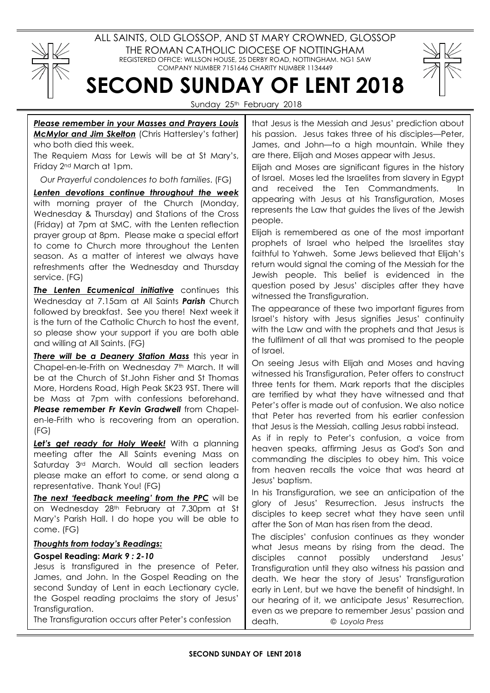

ALL SAINTS, OLD GLOSSOP, AND ST MARY CROWNED, GLOSSOP THE ROMAN CATHOLIC DIOCESE OF NOTTINGHAM REGISTERED OFFICE: WILLSON HOUSE, 25 DERBY ROAD, NOTTINGHAM. NG1 5AW COMPANY NUMBER 7151646 CHARITY NUMBER 1134449



Sunday 25<sup>th</sup> February 2018

SECOND SUNDAY OF LENT 2018

## Please remember in your Masses and Prayers Louis **McMylor and Jim Skelton** (Chris Hattersley's father) who both died this week.

The Requiem Mass for Lewis will be at St Mary's, Friday 2nd March at 1pm.

Our Prayerful condolences to both families. (FG)

Lenten devotions continue throughout the week with morning prayer of the Church (Monday, Wednesday & Thursday) and Stations of the Cross (Friday) at 7pm at SMC, with the Lenten reflection prayer group at 8pm. Please make a special effort to come to Church more throughout the Lenten season. As a matter of interest we always have refreshments after the Wednesday and Thursday service. (FG)

The Lenten Ecumenical initiative continues this Wednesday at 7.15am at All Saints Parish Church followed by breakfast. See you there! Next week it is the turn of the Catholic Church to host the event, so please show your support if you are both able and willing at All Saints. (FG)

There will be a Deanery Station Mass this year in Chapel-en-le-Frith on Wednesday 7<sup>th</sup> March. It will be at the Church of St.John Fisher and St Thomas More, Hordens Road, High Peak SK23 9ST. There will be Mass at 7pm with confessions beforehand. Please remember Fr Kevin Gradwell from Chapelen-le-Frith who is recovering from an operation. (FG)

Let's get ready for Holy Week! With a planning meeting after the All Saints evening Mass on Saturday 3rd March. Would all section leaders please make an effort to come, or send along a representative. Thank You! (FG)

The next 'feedback meeting' from the PPC will be on Wednesday 28th February at 7.30pm at St Mary's Parish Hall. I do hope you will be able to come. (FG)

## Thoughts from today's Readings:

## Gospel Reading: Mark 9 : 2-10

Jesus is transfigured in the presence of Peter, James, and John. In the Gospel Reading on the second Sunday of Lent in each Lectionary cycle, the Gospel reading proclaims the story of Jesus' Transfiguration.

The Transfiguration occurs after Peter's confession

that Jesus is the Messiah and Jesus' prediction about his passion. Jesus takes three of his disciples—Peter, James, and John—to a high mountain. While they are there, Elijah and Moses appear with Jesus.

Elijah and Moses are significant figures in the history of Israel. Moses led the Israelites from slavery in Egypt and received the Ten Commandments. In appearing with Jesus at his Transfiguration, Moses represents the Law that guides the lives of the Jewish people.

Elijah is remembered as one of the most important prophets of Israel who helped the Israelites stay faithful to Yahweh. Some Jews believed that Elijah's return would signal the coming of the Messiah for the Jewish people. This belief is evidenced in the question posed by Jesus' disciples after they have witnessed the Transfiguration.

The appearance of these two important figures from Israel's history with Jesus signifies Jesus' continuity with the Law and with the prophets and that Jesus is the fulfilment of all that was promised to the people of Israel.

On seeing Jesus with Elijah and Moses and having witnessed his Transfiguration, Peter offers to construct three tents for them. Mark reports that the disciples are terrified by what they have witnessed and that Peter's offer is made out of confusion. We also notice that Peter has reverted from his earlier confession that Jesus is the Messiah, calling Jesus rabbi instead.

As if in reply to Peter's confusion, a voice from heaven speaks, affirming Jesus as God's Son and commanding the disciples to obey him. This voice from heaven recalls the voice that was heard at Jesus' baptism.

In his Transfiguration, we see an anticipation of the glory of Jesus' Resurrection. Jesus instructs the disciples to keep secret what they have seen until after the Son of Man has risen from the dead.

The disciples' confusion continues as they wonder what Jesus means by rising from the dead. The disciples cannot possibly understand Jesus' Transfiguration until they also witness his passion and death. We hear the story of Jesus' Transfiguration early in Lent, but we have the benefit of hindsight. In our hearing of it, we anticipate Jesus' Resurrection, even as we prepare to remember Jesus' passion and death. © Loyola Press